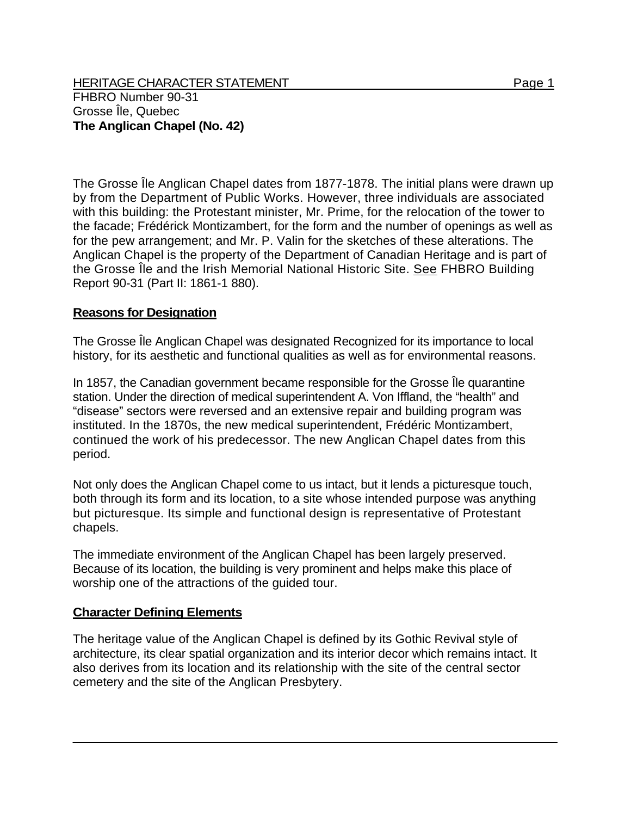The Grosse Île Anglican Chapel dates from 1877-1878. The initial plans were drawn up by from the Department of Public Works. However, three individuals are associated with this building: the Protestant minister, Mr. Prime, for the relocation of the tower to the facade; Frédérick Montizambert, for the form and the number of openings as well as for the pew arrangement; and Mr. P. Valin for the sketches of these alterations. The Anglican Chapel is the property of the Department of Canadian Heritage and is part of the Grosse Île and the Irish Memorial National Historic Site. See FHBRO Building Report 90-31 (Part II: 1861-1 880).

## **Reasons for Designation**

The Grosse Île Anglican Chapel was designated Recognized for its importance to local history, for its aesthetic and functional qualities as well as for environmental reasons.

In 1857, the Canadian government became responsible for the Grosse Île quarantine station. Under the direction of medical superintendent A. Von Iffland, the "health" and "disease" sectors were reversed and an extensive repair and building program was instituted. In the 1870s, the new medical superintendent, Frédéric Montizambert, continued the work of his predecessor. The new Anglican Chapel dates from this period.

Not only does the Anglican Chapel come to us intact, but it lends a picturesque touch, both through its form and its location, to a site whose intended purpose was anything but picturesque. Its simple and functional design is representative of Protestant chapels.

The immediate environment of the Anglican Chapel has been largely preserved. Because of its location, the building is very prominent and helps make this place of worship one of the attractions of the guided tour.

## **Character Defining Elements**

The heritage value of the Anglican Chapel is defined by its Gothic Revival style of architecture, its clear spatial organization and its interior decor which remains intact. It also derives from its location and its relationship with the site of the central sector cemetery and the site of the Anglican Presbytery.